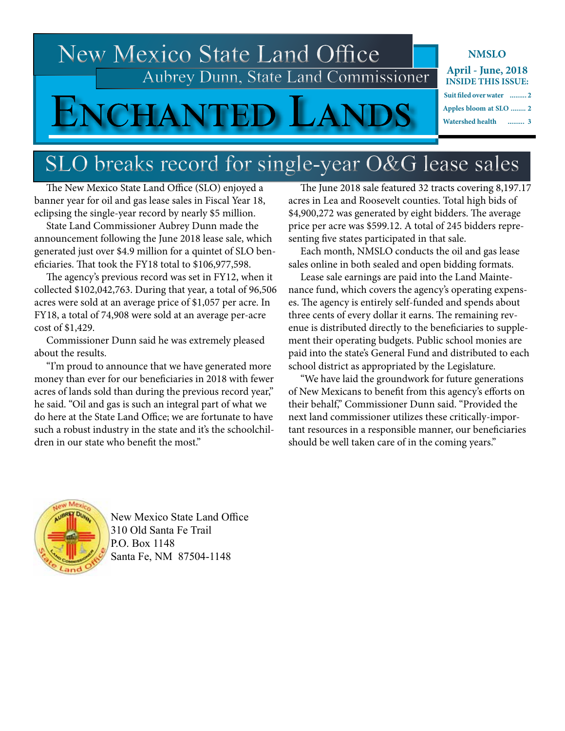### New Mexico State Land Office Aubrey Dunn, State Land Commissioner

## SLO breaks record for single-year O&G lease sales

 The New Mexico State Land Office (SLO) enjoyed a banner year for oil and gas lease sales in Fiscal Year 18, eclipsing the single-year record by nearly \$5 million.

 State Land Commissioner Aubrey Dunn made the announcement following the June 2018 lease sale, which generated just over \$4.9 million for a quintet of SLO beneficiaries. That took the FY18 total to \$106,977,598.

 The agency's previous record was set in FY12, when it collected \$102,042,763. During that year, a total of 96,506 acres were sold at an average price of \$1,057 per acre. In FY18, a total of 74,908 were sold at an average per-acre cost of \$1,429.

 Commissioner Dunn said he was extremely pleased about the results.

 "I'm proud to announce that we have generated more money than ever for our beneficiaries in 2018 with fewer acres of lands sold than during the previous record year," he said. "Oil and gas is such an integral part of what we do here at the State Land Office; we are fortunate to have such a robust industry in the state and it's the schoolchildren in our state who benefit the most."

 The June 2018 sale featured 32 tracts covering 8,197.17 acres in Lea and Roosevelt counties. Total high bids of \$4,900,272 was generated by eight bidders. The average price per acre was \$599.12. A total of 245 bidders representing five states participated in that sale.

 Each month, NMSLO conducts the oil and gas lease sales online in both sealed and open bidding formats.

 Lease sale earnings are paid into the Land Maintenance fund, which covers the agency's operating expenses. The agency is entirely self-funded and spends about three cents of every dollar it earns. The remaining revenue is distributed directly to the beneficiaries to supplement their operating budgets. Public school monies are paid into the state's General Fund and distributed to each school district as appropriated by the Legislature.

 "We have laid the groundwork for future generations of New Mexicans to benefit from this agency's efforts on their behalf," Commissioner Dunn said. "Provided the next land commissioner utilizes these critically-important resources in a responsible manner, our beneficiaries should be well taken care of in the coming years."



New Mexico State Land Office 310 Old Santa Fe Trail P.O. Box 1148 Santa Fe, NM 87504-1148

**NMSLO**

**April - June, 2018 INSIDE THIS ISSUE:**

| Suit filed over water  2 |  |
|--------------------------|--|
| Apples bloom at SLO  2   |  |
| Watershed health  3      |  |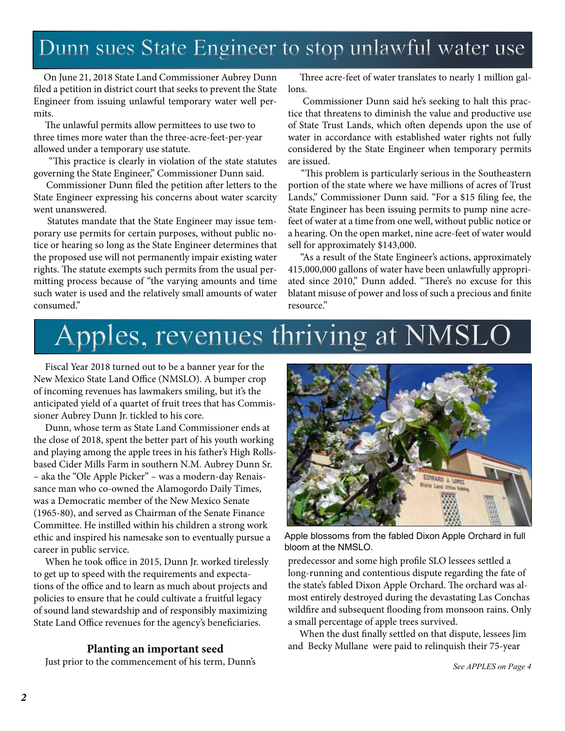### Dunn sues State Engineer to stop unlawful water use

On June 21, 2018 State Land Commissioner Aubrey Dunn filed a petition in district court that seeks to prevent the State Engineer from issuing unlawful temporary water well permits.

 The unlawful permits allow permittees to use two to three times more water than the three-acre-feet-per-year allowed under a temporary use statute.

 "This practice is clearly in violation of the state statutes governing the State Engineer," Commissioner Dunn said.

 Commissioner Dunn filed the petition after letters to the State Engineer expressing his concerns about water scarcity went unanswered.

 Statutes mandate that the State Engineer may issue temporary use permits for certain purposes, without public notice or hearing so long as the State Engineer determines that the proposed use will not permanently impair existing water rights. The statute exempts such permits from the usual permitting process because of "the varying amounts and time such water is used and the relatively small amounts of water consumed."

 Three acre-feet of water translates to nearly 1 million gallons.

 Commissioner Dunn said he's seeking to halt this practice that threatens to diminish the value and productive use of State Trust Lands, which often depends upon the use of water in accordance with established water rights not fully considered by the State Engineer when temporary permits are issued.

 "This problem is particularly serious in the Southeastern portion of the state where we have millions of acres of Trust Lands," Commissioner Dunn said. "For a \$15 filing fee, the State Engineer has been issuing permits to pump nine acrefeet of water at a time from one well, without public notice or a hearing. On the open market, nine acre-feet of water would sell for approximately \$143,000.

 "As a result of the State Engineer's actions, approximately 415,000,000 gallons of water have been unlawfully appropriated since 2010," Dunn added. "There's no excuse for this blatant misuse of power and loss of such a precious and finite resource."

# Apples, revenues thriving at NMSLO

 Fiscal Year 2018 turned out to be a banner year for the New Mexico State Land Office (NMSLO). A bumper crop of incoming revenues has lawmakers smiling, but it's the anticipated yield of a quartet of fruit trees that has Commissioner Aubrey Dunn Jr. tickled to his core.

 Dunn, whose term as State Land Commissioner ends at the close of 2018, spent the better part of his youth working and playing among the apple trees in his father's High Rollsbased Cider Mills Farm in southern N.M. Aubrey Dunn Sr. – aka the "Ole Apple Picker" – was a modern-day Renaissance man who co-owned the Alamogordo Daily Times, was a Democratic member of the New Mexico Senate (1965-80), and served as Chairman of the Senate Finance Committee. He instilled within his children a strong work ethic and inspired his namesake son to eventually pursue a career in public service.

 When he took office in 2015, Dunn Jr. worked tirelessly to get up to speed with the requirements and expectations of the office and to learn as much about projects and policies to ensure that he could cultivate a fruitful legacy of sound land stewardship and of responsibly maximizing State Land Office revenues for the agency's beneficiaries.

#### **Planting an important seed**

Just prior to the commencement of his term, Dunn's



Apple blossoms from the fabled Dixon Apple Orchard in full bloom at the NMSLO.

predecessor and some high profile SLO lessees settled a long-running and contentious dispute regarding the fate of the state's fabled Dixon Apple Orchard. The orchard was almost entirely destroyed during the devastating Las Conchas wildfire and subsequent flooding from monsoon rains. Only a small percentage of apple trees survived.

 When the dust finally settled on that dispute, lessees Jim and Becky Mullane were paid to relinquish their 75-year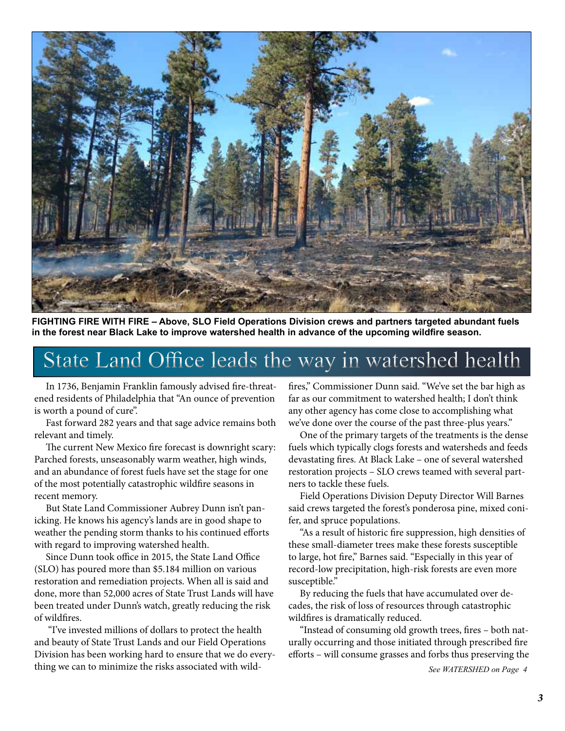

**FIGHTING FIRE WITH FIRE – Above, SLO Field Operations Division crews and partners targeted abundant fuels in the forest near Black Lake to improve watershed health in advance of the upcoming wildfire season.** 

### State Land Office leads the way in watershed health

 In 1736, Benjamin Franklin famously advised fire-threatened residents of Philadelphia that "An ounce of prevention is worth a pound of cure".

 Fast forward 282 years and that sage advice remains both relevant and timely.

 The current New Mexico fire forecast is downright scary: Parched forests, unseasonably warm weather, high winds, and an abundance of forest fuels have set the stage for one of the most potentially catastrophic wildfire seasons in recent memory.

 But State Land Commissioner Aubrey Dunn isn't panicking. He knows his agency's lands are in good shape to weather the pending storm thanks to his continued efforts with regard to improving watershed health.

 Since Dunn took office in 2015, the State Land Office (SLO) has poured more than \$5.184 million on various restoration and remediation projects. When all is said and done, more than 52,000 acres of State Trust Lands will have been treated under Dunn's watch, greatly reducing the risk of wildfires.

 "I've invested millions of dollars to protect the health and beauty of State Trust Lands and our Field Operations Division has been working hard to ensure that we do everything we can to minimize the risks associated with wildfires," Commissioner Dunn said. "We've set the bar high as far as our commitment to watershed health; I don't think any other agency has come close to accomplishing what we've done over the course of the past three-plus years."

 One of the primary targets of the treatments is the dense fuels which typically clogs forests and watersheds and feeds devastating fires. At Black Lake – one of several watershed restoration projects – SLO crews teamed with several partners to tackle these fuels.

 Field Operations Division Deputy Director Will Barnes said crews targeted the forest's ponderosa pine, mixed conifer, and spruce populations.

 "As a result of historic fire suppression, high densities of these small-diameter trees make these forests susceptible to large, hot fire," Barnes said. "Especially in this year of record-low precipitation, high-risk forests are even more susceptible."

 By reducing the fuels that have accumulated over decades, the risk of loss of resources through catastrophic wildfires is dramatically reduced.

 "Instead of consuming old growth trees, fires – both naturally occurring and those initiated through prescribed fire efforts – will consume grasses and forbs thus preserving the

*See WATERSHED on Page 4*